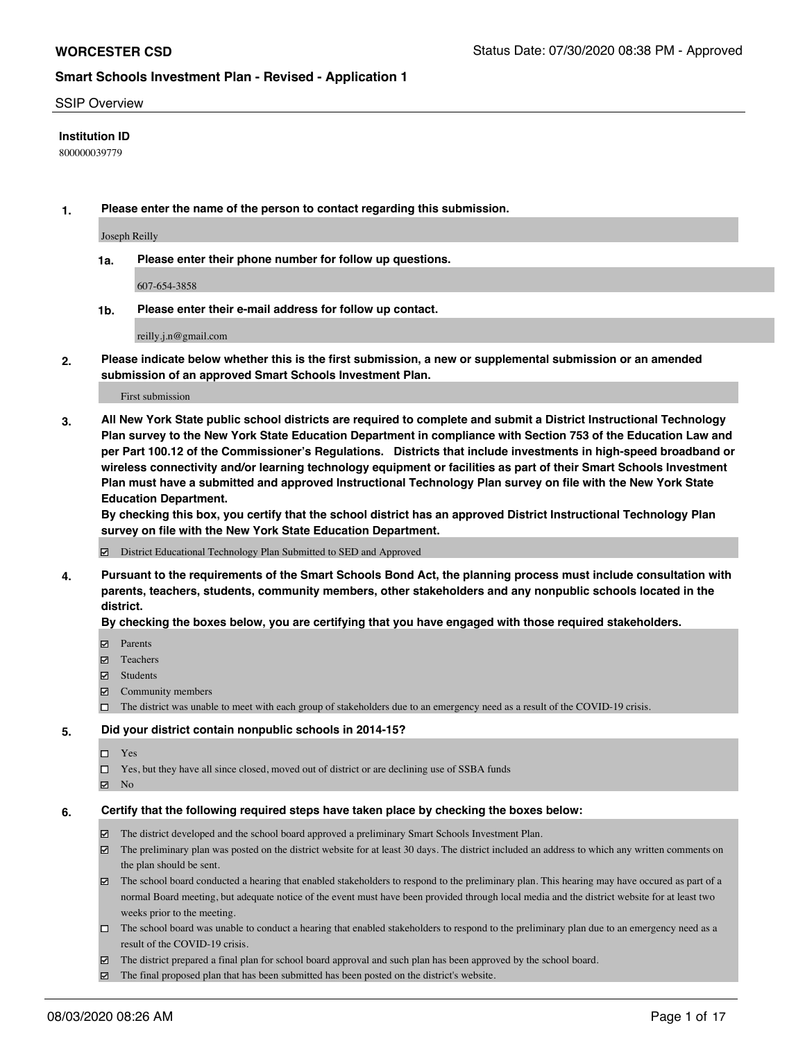#### SSIP Overview

#### **Institution ID**

800000039779

**1. Please enter the name of the person to contact regarding this submission.**

Joseph Reilly

**1a. Please enter their phone number for follow up questions.**

607-654-3858

**1b. Please enter their e-mail address for follow up contact.**

reilly.j.n@gmail.com

**2. Please indicate below whether this is the first submission, a new or supplemental submission or an amended submission of an approved Smart Schools Investment Plan.**

#### First submission

**3. All New York State public school districts are required to complete and submit a District Instructional Technology Plan survey to the New York State Education Department in compliance with Section 753 of the Education Law and per Part 100.12 of the Commissioner's Regulations. Districts that include investments in high-speed broadband or wireless connectivity and/or learning technology equipment or facilities as part of their Smart Schools Investment Plan must have a submitted and approved Instructional Technology Plan survey on file with the New York State Education Department.** 

**By checking this box, you certify that the school district has an approved District Instructional Technology Plan survey on file with the New York State Education Department.**

District Educational Technology Plan Submitted to SED and Approved

**4. Pursuant to the requirements of the Smart Schools Bond Act, the planning process must include consultation with parents, teachers, students, community members, other stakeholders and any nonpublic schools located in the district.** 

#### **By checking the boxes below, you are certifying that you have engaged with those required stakeholders.**

- **Ø** Parents
- Teachers
- Students
- $\boxtimes$  Community members
- The district was unable to meet with each group of stakeholders due to an emergency need as a result of the COVID-19 crisis.

#### **5. Did your district contain nonpublic schools in 2014-15?**

- $\neg$  Yes
- □ Yes, but they have all since closed, moved out of district or are declining use of SSBA funds
- **☑** No

#### **6. Certify that the following required steps have taken place by checking the boxes below:**

- The district developed and the school board approved a preliminary Smart Schools Investment Plan.
- $\boxtimes$  The preliminary plan was posted on the district website for at least 30 days. The district included an address to which any written comments on the plan should be sent.
- $\boxtimes$  The school board conducted a hearing that enabled stakeholders to respond to the preliminary plan. This hearing may have occured as part of a normal Board meeting, but adequate notice of the event must have been provided through local media and the district website for at least two weeks prior to the meeting.
- The school board was unable to conduct a hearing that enabled stakeholders to respond to the preliminary plan due to an emergency need as a result of the COVID-19 crisis.
- The district prepared a final plan for school board approval and such plan has been approved by the school board.
- $\boxtimes$  The final proposed plan that has been submitted has been posted on the district's website.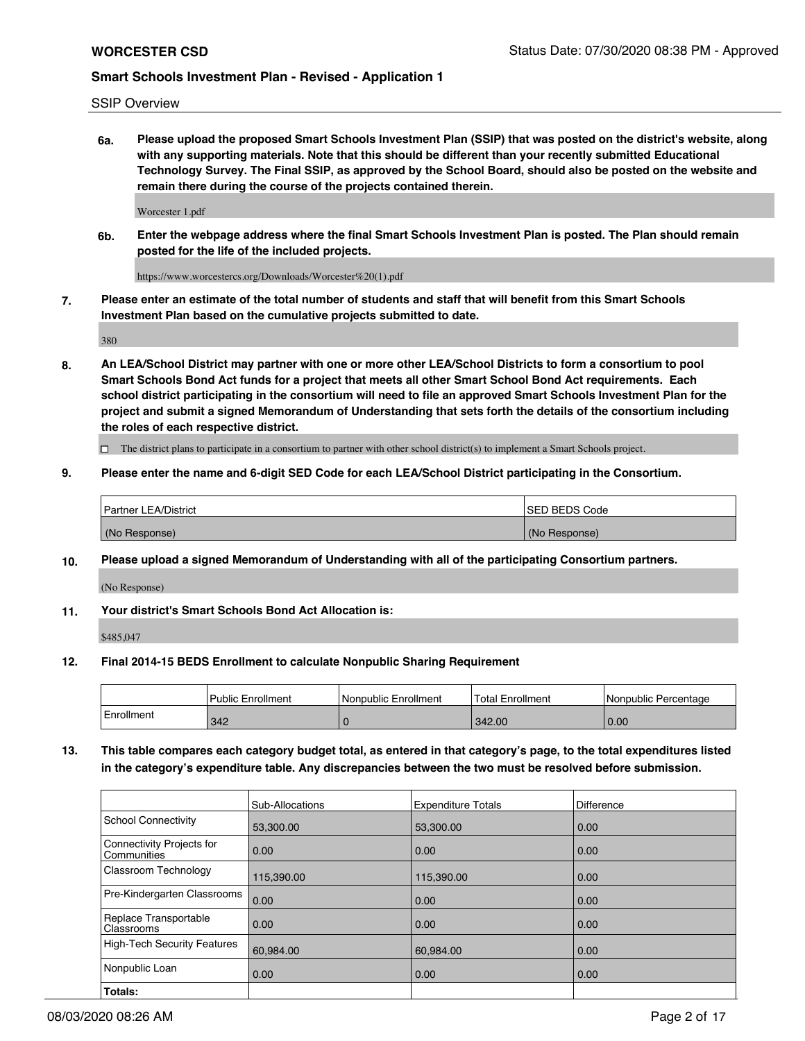SSIP Overview

**6a. Please upload the proposed Smart Schools Investment Plan (SSIP) that was posted on the district's website, along with any supporting materials. Note that this should be different than your recently submitted Educational Technology Survey. The Final SSIP, as approved by the School Board, should also be posted on the website and remain there during the course of the projects contained therein.**

Worcester 1.pdf

**6b. Enter the webpage address where the final Smart Schools Investment Plan is posted. The Plan should remain posted for the life of the included projects.**

https://www.worcestercs.org/Downloads/Worcester%20(1).pdf

**7. Please enter an estimate of the total number of students and staff that will benefit from this Smart Schools Investment Plan based on the cumulative projects submitted to date.**

380

**8. An LEA/School District may partner with one or more other LEA/School Districts to form a consortium to pool Smart Schools Bond Act funds for a project that meets all other Smart School Bond Act requirements. Each school district participating in the consortium will need to file an approved Smart Schools Investment Plan for the project and submit a signed Memorandum of Understanding that sets forth the details of the consortium including the roles of each respective district.**

 $\Box$  The district plans to participate in a consortium to partner with other school district(s) to implement a Smart Schools project.

### **9. Please enter the name and 6-digit SED Code for each LEA/School District participating in the Consortium.**

| Partner LEA/District | <b>ISED BEDS Code</b> |
|----------------------|-----------------------|
| (No Response)        | (No Response)         |

### **10. Please upload a signed Memorandum of Understanding with all of the participating Consortium partners.**

(No Response)

**11. Your district's Smart Schools Bond Act Allocation is:**

\$485,047

### **12. Final 2014-15 BEDS Enrollment to calculate Nonpublic Sharing Requirement**

|            | <b>Public Enrollment</b> | Nonpublic Enrollment | <b>Total Enrollment</b> | l Nonpublic Percentage |
|------------|--------------------------|----------------------|-------------------------|------------------------|
| Enrollment | 342                      |                      | 342.00                  | 0.00                   |

**13. This table compares each category budget total, as entered in that category's page, to the total expenditures listed in the category's expenditure table. Any discrepancies between the two must be resolved before submission.**

|                                          | Sub-Allocations | <b>Expenditure Totals</b> | <b>Difference</b> |
|------------------------------------------|-----------------|---------------------------|-------------------|
| <b>School Connectivity</b>               | 53,300.00       | 53,300.00                 | 0.00              |
| Connectivity Projects for<br>Communities | 0.00            | 0.00                      | 0.00              |
| Classroom Technology                     | 115,390.00      | 115,390.00                | 0.00              |
| Pre-Kindergarten Classrooms              | 0.00            | 0.00                      | 0.00              |
| Replace Transportable<br>Classrooms      | 0.00            | 0.00                      | 0.00              |
| <b>High-Tech Security Features</b>       | 60,984.00       | 60,984.00                 | 0.00              |
| Nonpublic Loan                           | 0.00            | 0.00                      | 0.00              |
| Totals:                                  |                 |                           |                   |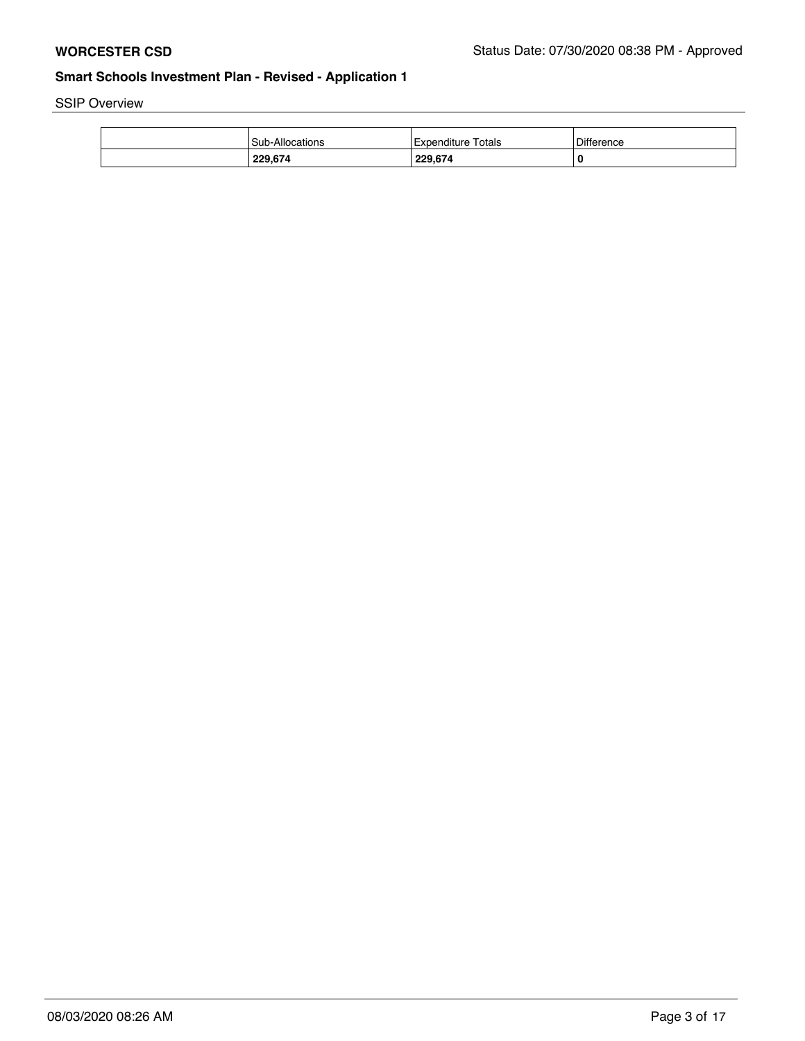SSIP Overview

| 229.674                | 229.674            | 0                 |
|------------------------|--------------------|-------------------|
| <b>Sub-Allocations</b> | Expenditure Totals | <b>Difference</b> |
|                        |                    |                   |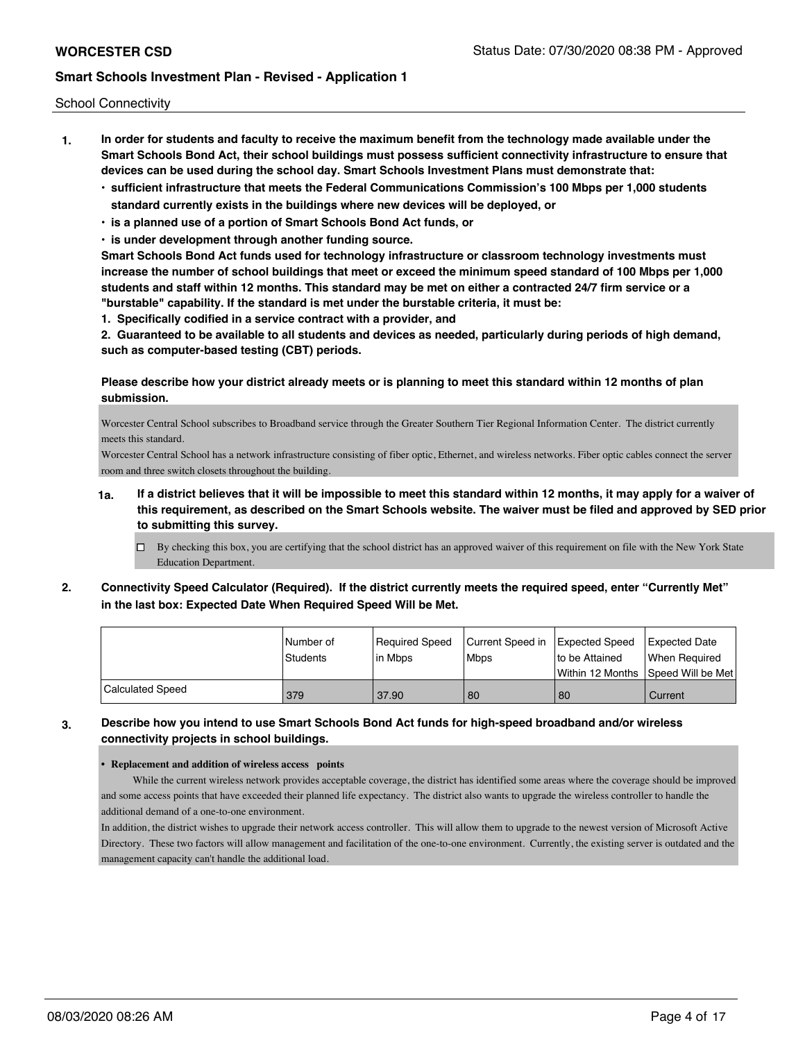School Connectivity

- **1. In order for students and faculty to receive the maximum benefit from the technology made available under the Smart Schools Bond Act, their school buildings must possess sufficient connectivity infrastructure to ensure that devices can be used during the school day. Smart Schools Investment Plans must demonstrate that:**
	- **• sufficient infrastructure that meets the Federal Communications Commission's 100 Mbps per 1,000 students standard currently exists in the buildings where new devices will be deployed, or**
	- **• is a planned use of a portion of Smart Schools Bond Act funds, or**
	- **• is under development through another funding source.**

**Smart Schools Bond Act funds used for technology infrastructure or classroom technology investments must increase the number of school buildings that meet or exceed the minimum speed standard of 100 Mbps per 1,000 students and staff within 12 months. This standard may be met on either a contracted 24/7 firm service or a "burstable" capability. If the standard is met under the burstable criteria, it must be:**

**1. Specifically codified in a service contract with a provider, and**

**2. Guaranteed to be available to all students and devices as needed, particularly during periods of high demand, such as computer-based testing (CBT) periods.**

### **Please describe how your district already meets or is planning to meet this standard within 12 months of plan submission.**

Worcester Central School subscribes to Broadband service through the Greater Southern Tier Regional Information Center. The district currently meets this standard.

Worcester Central School has a network infrastructure consisting of fiber optic, Ethernet, and wireless networks. Fiber optic cables connect the server room and three switch closets throughout the building.

- **1a. If a district believes that it will be impossible to meet this standard within 12 months, it may apply for a waiver of this requirement, as described on the Smart Schools website. The waiver must be filed and approved by SED prior to submitting this survey.**
	- $\Box$  By checking this box, you are certifying that the school district has an approved waiver of this requirement on file with the New York State Education Department.
- **2. Connectivity Speed Calculator (Required). If the district currently meets the required speed, enter "Currently Met" in the last box: Expected Date When Required Speed Will be Met.**

|                  | l Number of | Required Speed | Current Speed in Expected Speed |                    | Expected Date     |
|------------------|-------------|----------------|---------------------------------|--------------------|-------------------|
|                  | Students    | lin Mbps       | Mbps                            | to be Attained     | When Reauired     |
|                  |             |                |                                 | l Within 12 Months | Speed Will be Met |
| Calculated Speed | 379         | 37.90          | 80                              | 80                 | Current           |

### **3. Describe how you intend to use Smart Schools Bond Act funds for high-speed broadband and/or wireless connectivity projects in school buildings.**

#### **• Replacement and addition of wireless access points**

 While the current wireless network provides acceptable coverage, the district has identified some areas where the coverage should be improved and some access points that have exceeded their planned life expectancy. The district also wants to upgrade the wireless controller to handle the additional demand of a one-to-one environment.

In addition, the district wishes to upgrade their network access controller. This will allow them to upgrade to the newest version of Microsoft Active Directory. These two factors will allow management and facilitation of the one-to-one environment. Currently, the existing server is outdated and the management capacity can't handle the additional load.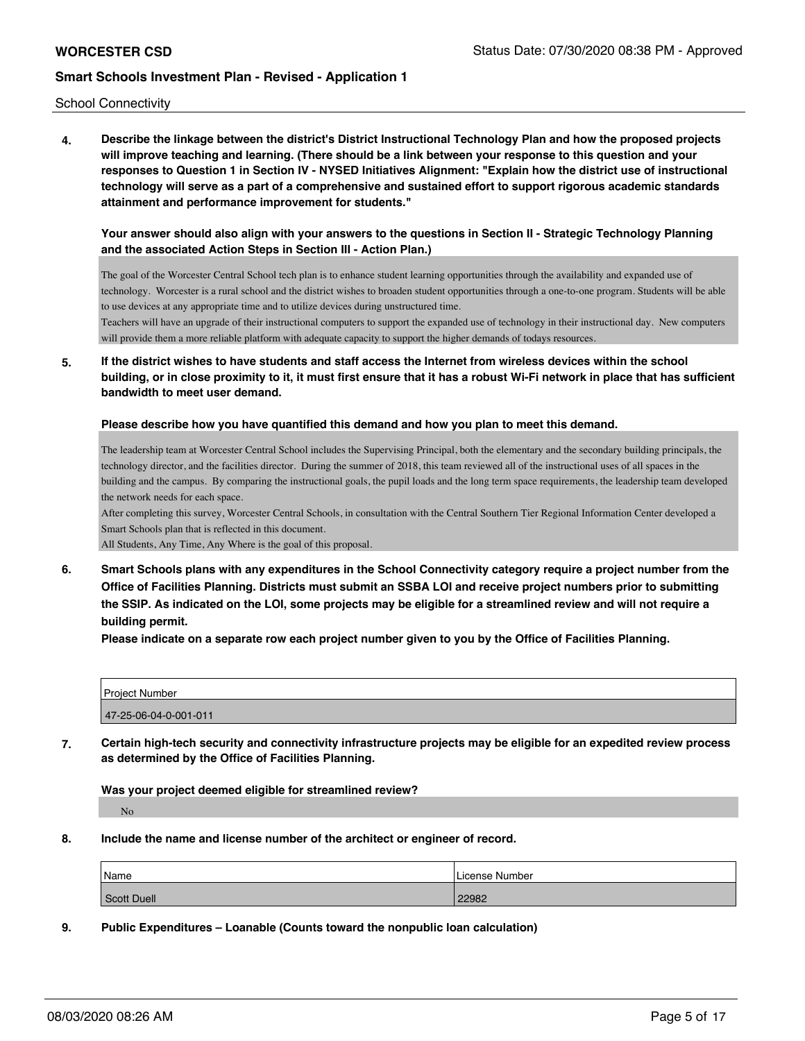School Connectivity

**4. Describe the linkage between the district's District Instructional Technology Plan and how the proposed projects will improve teaching and learning. (There should be a link between your response to this question and your responses to Question 1 in Section IV - NYSED Initiatives Alignment: "Explain how the district use of instructional technology will serve as a part of a comprehensive and sustained effort to support rigorous academic standards attainment and performance improvement for students."** 

### **Your answer should also align with your answers to the questions in Section II - Strategic Technology Planning and the associated Action Steps in Section III - Action Plan.)**

The goal of the Worcester Central School tech plan is to enhance student learning opportunities through the availability and expanded use of technology. Worcester is a rural school and the district wishes to broaden student opportunities through a one-to-one program. Students will be able to use devices at any appropriate time and to utilize devices during unstructured time.

Teachers will have an upgrade of their instructional computers to support the expanded use of technology in their instructional day. New computers will provide them a more reliable platform with adequate capacity to support the higher demands of todays resources.

**5. If the district wishes to have students and staff access the Internet from wireless devices within the school building, or in close proximity to it, it must first ensure that it has a robust Wi-Fi network in place that has sufficient bandwidth to meet user demand.**

#### **Please describe how you have quantified this demand and how you plan to meet this demand.**

The leadership team at Worcester Central School includes the Supervising Principal, both the elementary and the secondary building principals, the technology director, and the facilities director. During the summer of 2018, this team reviewed all of the instructional uses of all spaces in the building and the campus. By comparing the instructional goals, the pupil loads and the long term space requirements, the leadership team developed the network needs for each space.

After completing this survey, Worcester Central Schools, in consultation with the Central Southern Tier Regional Information Center developed a Smart Schools plan that is reflected in this document.

All Students, Any Time, Any Where is the goal of this proposal.

**6. Smart Schools plans with any expenditures in the School Connectivity category require a project number from the Office of Facilities Planning. Districts must submit an SSBA LOI and receive project numbers prior to submitting the SSIP. As indicated on the LOI, some projects may be eligible for a streamlined review and will not require a building permit.**

**Please indicate on a separate row each project number given to you by the Office of Facilities Planning.**

| <b>Project Number</b> |  |
|-----------------------|--|
| 47-25-06-04-0-001-011 |  |

**7. Certain high-tech security and connectivity infrastructure projects may be eligible for an expedited review process as determined by the Office of Facilities Planning.**

**Was your project deemed eligible for streamlined review?**

No

**8. Include the name and license number of the architect or engineer of record.**

| Name        | License Number |
|-------------|----------------|
| Scott Duell | 22982          |

**9. Public Expenditures – Loanable (Counts toward the nonpublic loan calculation)**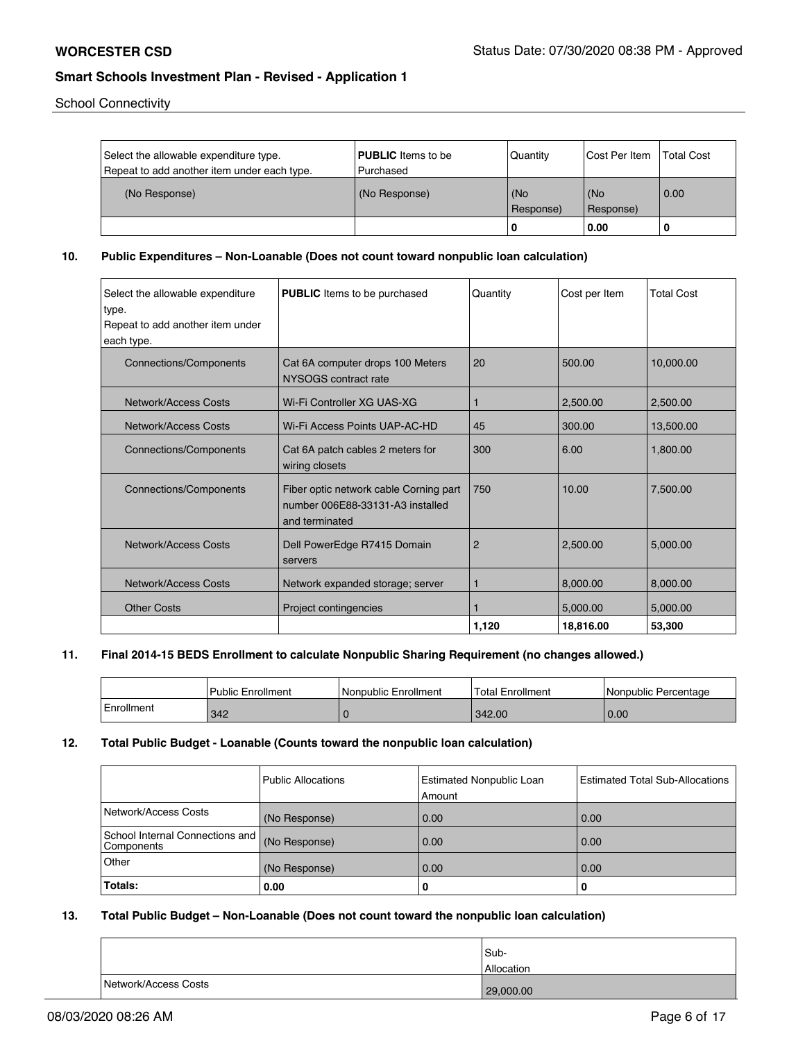School Connectivity

| Select the allowable expenditure type.<br>Repeat to add another item under each type. | <b>PUBLIC</b> Items to be<br>l Purchased | Quantity         | lCost Per Item   | <b>Total Cost</b> |
|---------------------------------------------------------------------------------------|------------------------------------------|------------------|------------------|-------------------|
| (No Response)                                                                         | (No Response)                            | (No<br>Response) | (No<br>Response) | 0.00              |
|                                                                                       |                                          |                  | 0.00             |                   |

**10. Public Expenditures – Non-Loanable (Does not count toward nonpublic loan calculation)**

| Select the allowable expenditure<br>type.<br>Repeat to add another item under<br>each type. | <b>PUBLIC</b> Items to be purchased                                                          | Quantity       | Cost per Item | <b>Total Cost</b> |
|---------------------------------------------------------------------------------------------|----------------------------------------------------------------------------------------------|----------------|---------------|-------------------|
| Connections/Components                                                                      | Cat 6A computer drops 100 Meters<br>NYSOGS contract rate                                     | 20             | 500.00        | 10,000.00         |
| Network/Access Costs                                                                        | Wi-Fi Controller XG UAS-XG                                                                   | ۴              | 2,500.00      | 2,500.00          |
| Network/Access Costs                                                                        | Wi-Fi Access Points UAP-AC-HD                                                                | 45             | 300.00        | 13,500.00         |
| Connections/Components                                                                      | Cat 6A patch cables 2 meters for<br>wiring closets                                           | 300            | 6.00          | 1,800.00          |
| Connections/Components                                                                      | Fiber optic network cable Corning part<br>number 006E88-33131-A3 installed<br>and terminated | 750            | 10.00         | 7,500.00          |
| Network/Access Costs                                                                        | Dell PowerEdge R7415 Domain<br>servers                                                       | $\overline{2}$ | 2,500.00      | 5,000.00          |
| Network/Access Costs                                                                        | Network expanded storage; server                                                             | ۴              | 8,000.00      | 8,000.00          |
| <b>Other Costs</b>                                                                          | Project contingencies                                                                        |                | 5,000.00      | 5,000.00          |
|                                                                                             |                                                                                              | 1,120          | 18,816.00     | 53,300            |

#### **11. Final 2014-15 BEDS Enrollment to calculate Nonpublic Sharing Requirement (no changes allowed.)**

|            | Public Enrollment | l Nonpublic Enrollment | 'Total Enrollment | Nonpublic Percentage |
|------------|-------------------|------------------------|-------------------|----------------------|
| Enrollment | 342               |                        | 342.00            | 0.00                 |

#### **12. Total Public Budget - Loanable (Counts toward the nonpublic loan calculation)**

|                                                 | Public Allocations | Estimated Nonpublic Loan<br>Amount | <b>Estimated Total Sub-Allocations</b> |
|-------------------------------------------------|--------------------|------------------------------------|----------------------------------------|
| Network/Access Costs                            | (No Response)      | 0.00                               | 0.00                                   |
| School Internal Connections and  <br>Components | (No Response)      | 0.00                               | 0.00                                   |
| Other                                           | (No Response)      | 0.00                               | 0.00                                   |
| Totals:                                         | 0.00               | 0                                  |                                        |

### **13. Total Public Budget – Non-Loanable (Does not count toward the nonpublic loan calculation)**

|                      | Sub-              |
|----------------------|-------------------|
|                      | <b>Allocation</b> |
| Network/Access Costs | 29,000.00         |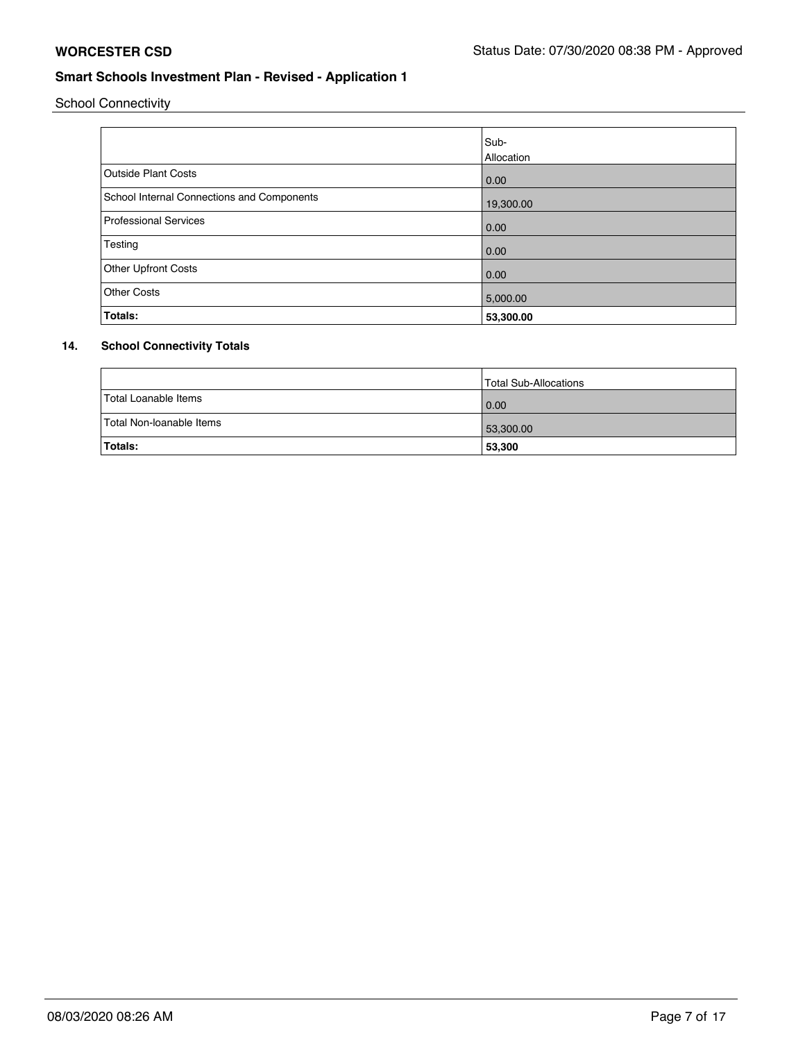School Connectivity

|                                            | lSub-      |
|--------------------------------------------|------------|
|                                            | Allocation |
| <b>Outside Plant Costs</b>                 | 0.00       |
| School Internal Connections and Components | 19,300.00  |
| <b>Professional Services</b>               | 0.00       |
| Testing                                    | 0.00       |
| <b>Other Upfront Costs</b>                 | 0.00       |
| <b>Other Costs</b>                         | 5,000.00   |
| Totals:                                    | 53,300.00  |

## **14. School Connectivity Totals**

|                          | Total Sub-Allocations |
|--------------------------|-----------------------|
| Total Loanable Items     | 0.00                  |
| Total Non-Ioanable Items | 53,300.00             |
| Totals:                  | 53,300                |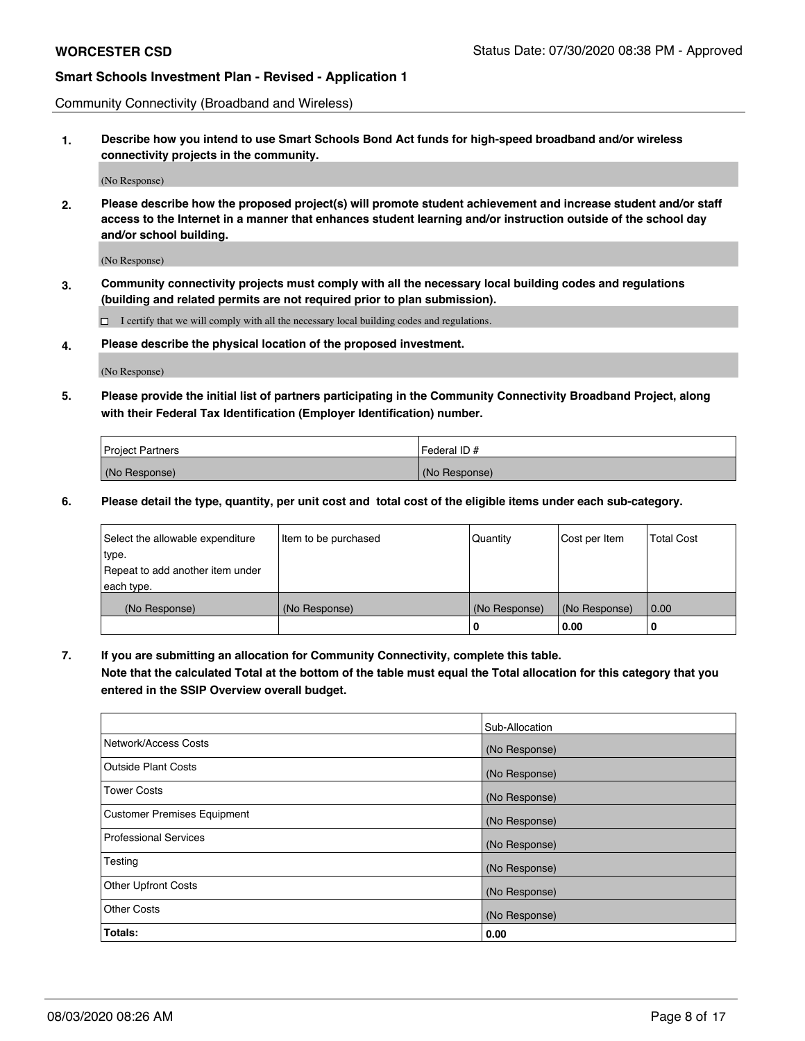Community Connectivity (Broadband and Wireless)

**1. Describe how you intend to use Smart Schools Bond Act funds for high-speed broadband and/or wireless connectivity projects in the community.**

(No Response)

**2. Please describe how the proposed project(s) will promote student achievement and increase student and/or staff access to the Internet in a manner that enhances student learning and/or instruction outside of the school day and/or school building.**

(No Response)

**3. Community connectivity projects must comply with all the necessary local building codes and regulations (building and related permits are not required prior to plan submission).**

 $\Box$  I certify that we will comply with all the necessary local building codes and regulations.

**4. Please describe the physical location of the proposed investment.**

(No Response)

**5. Please provide the initial list of partners participating in the Community Connectivity Broadband Project, along with their Federal Tax Identification (Employer Identification) number.**

| <b>Project Partners</b> | l Federal ID # |
|-------------------------|----------------|
| (No Response)           | (No Response)  |

**6. Please detail the type, quantity, per unit cost and total cost of the eligible items under each sub-category.**

| Select the allowable expenditure | Item to be purchased | Quantity      | Cost per Item | <b>Total Cost</b> |
|----------------------------------|----------------------|---------------|---------------|-------------------|
| type.                            |                      |               |               |                   |
| Repeat to add another item under |                      |               |               |                   |
| each type.                       |                      |               |               |                   |
| (No Response)                    | (No Response)        | (No Response) | (No Response) | 0.00              |
|                                  |                      | o             | 0.00          | 0                 |

**7. If you are submitting an allocation for Community Connectivity, complete this table.**

**Note that the calculated Total at the bottom of the table must equal the Total allocation for this category that you entered in the SSIP Overview overall budget.**

|                                    | Sub-Allocation |
|------------------------------------|----------------|
| Network/Access Costs               | (No Response)  |
| Outside Plant Costs                | (No Response)  |
| <b>Tower Costs</b>                 | (No Response)  |
| <b>Customer Premises Equipment</b> | (No Response)  |
| <b>Professional Services</b>       | (No Response)  |
| Testing                            | (No Response)  |
| <b>Other Upfront Costs</b>         | (No Response)  |
| <b>Other Costs</b>                 | (No Response)  |
| Totals:                            | 0.00           |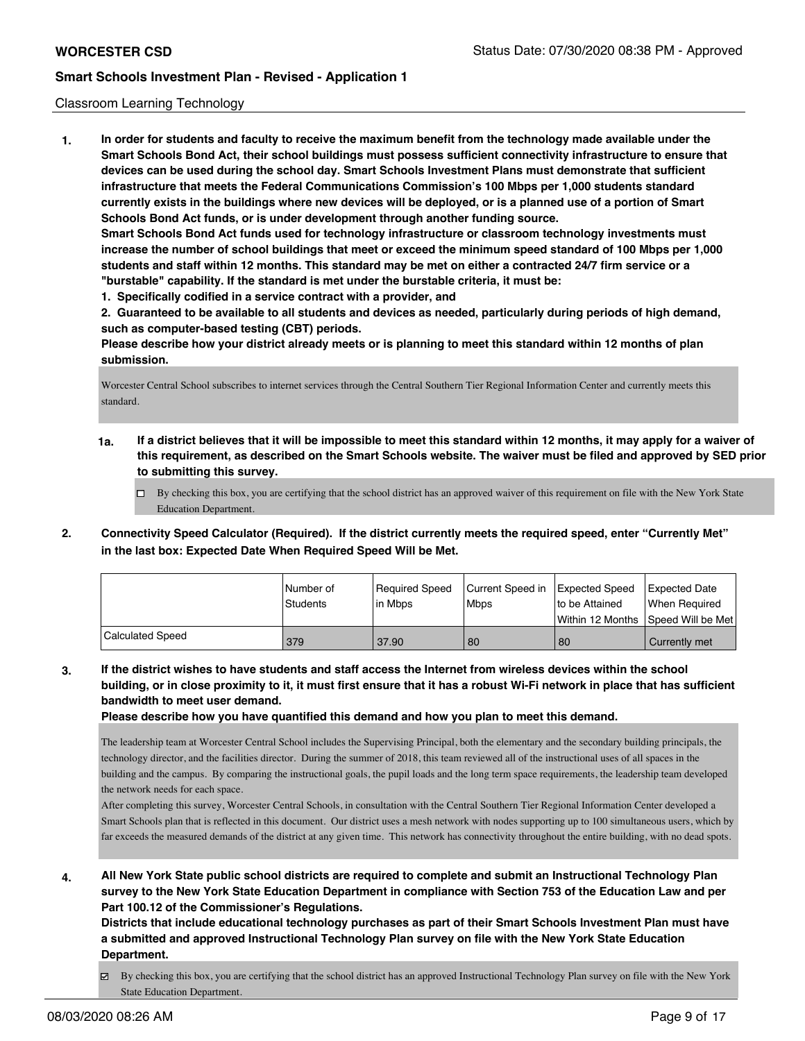#### Classroom Learning Technology

**1. In order for students and faculty to receive the maximum benefit from the technology made available under the Smart Schools Bond Act, their school buildings must possess sufficient connectivity infrastructure to ensure that devices can be used during the school day. Smart Schools Investment Plans must demonstrate that sufficient infrastructure that meets the Federal Communications Commission's 100 Mbps per 1,000 students standard currently exists in the buildings where new devices will be deployed, or is a planned use of a portion of Smart Schools Bond Act funds, or is under development through another funding source. Smart Schools Bond Act funds used for technology infrastructure or classroom technology investments must increase the number of school buildings that meet or exceed the minimum speed standard of 100 Mbps per 1,000 students and staff within 12 months. This standard may be met on either a contracted 24/7 firm service or a "burstable" capability. If the standard is met under the burstable criteria, it must be: 1. Specifically codified in a service contract with a provider, and**

**2. Guaranteed to be available to all students and devices as needed, particularly during periods of high demand, such as computer-based testing (CBT) periods.**

**Please describe how your district already meets or is planning to meet this standard within 12 months of plan submission.**

Worcester Central School subscribes to internet services through the Central Southern Tier Regional Information Center and currently meets this standard.

- **1a. If a district believes that it will be impossible to meet this standard within 12 months, it may apply for a waiver of this requirement, as described on the Smart Schools website. The waiver must be filed and approved by SED prior to submitting this survey.**
	- By checking this box, you are certifying that the school district has an approved waiver of this requirement on file with the New York State Education Department.
- **2. Connectivity Speed Calculator (Required). If the district currently meets the required speed, enter "Currently Met" in the last box: Expected Date When Required Speed Will be Met.**

|                  | l Number of | Required Speed | Current Speed in | Expected Speed     | Expected Date     |
|------------------|-------------|----------------|------------------|--------------------|-------------------|
|                  | Students    | lin Mbps       | <b>Mbps</b>      | Ito be Attained    | When Reauired     |
|                  |             |                |                  | l Within 12 Months | Speed Will be Met |
| Calculated Speed | 379         | 37.90          | 80               | 80                 | Currently met     |

**3. If the district wishes to have students and staff access the Internet from wireless devices within the school building, or in close proximity to it, it must first ensure that it has a robust Wi-Fi network in place that has sufficient bandwidth to meet user demand.**

**Please describe how you have quantified this demand and how you plan to meet this demand.**

The leadership team at Worcester Central School includes the Supervising Principal, both the elementary and the secondary building principals, the technology director, and the facilities director. During the summer of 2018, this team reviewed all of the instructional uses of all spaces in the building and the campus. By comparing the instructional goals, the pupil loads and the long term space requirements, the leadership team developed the network needs for each space.

After completing this survey, Worcester Central Schools, in consultation with the Central Southern Tier Regional Information Center developed a Smart Schools plan that is reflected in this document. Our district uses a mesh network with nodes supporting up to 100 simultaneous users, which by far exceeds the measured demands of the district at any given time. This network has connectivity throughout the entire building, with no dead spots.

**4. All New York State public school districts are required to complete and submit an Instructional Technology Plan survey to the New York State Education Department in compliance with Section 753 of the Education Law and per Part 100.12 of the Commissioner's Regulations.**

**Districts that include educational technology purchases as part of their Smart Schools Investment Plan must have a submitted and approved Instructional Technology Plan survey on file with the New York State Education Department.**

By checking this box, you are certifying that the school district has an approved Instructional Technology Plan survey on file with the New York State Education Department.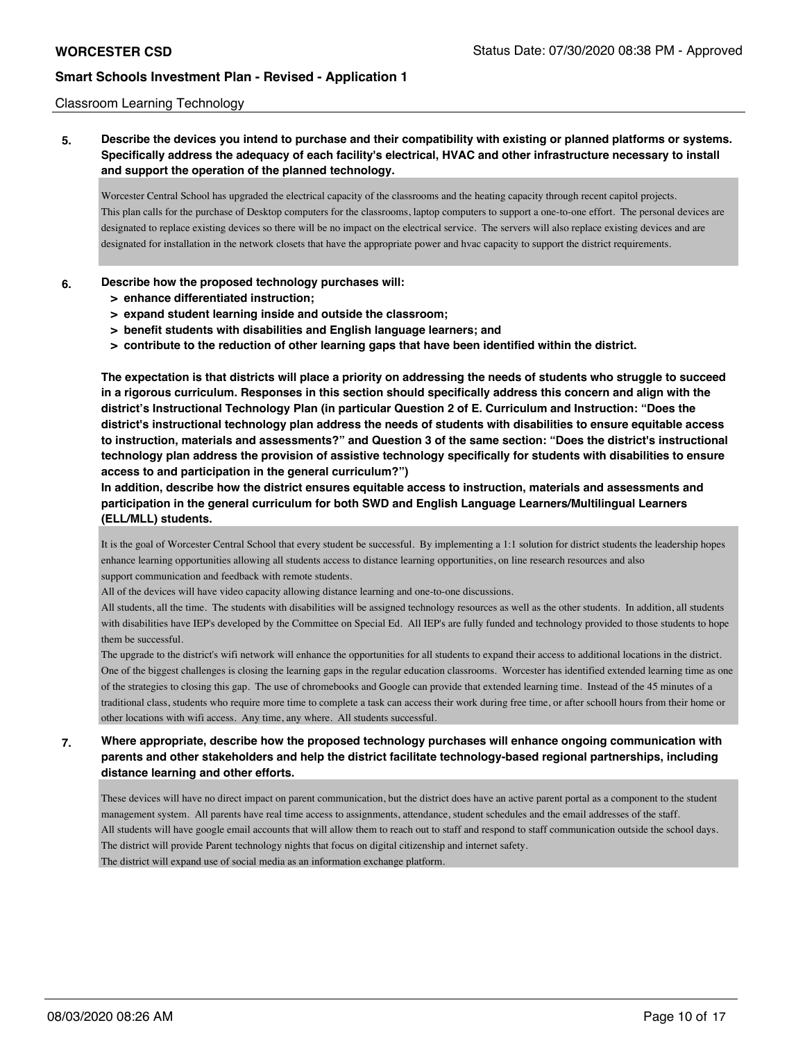#### Classroom Learning Technology

**5. Describe the devices you intend to purchase and their compatibility with existing or planned platforms or systems. Specifically address the adequacy of each facility's electrical, HVAC and other infrastructure necessary to install and support the operation of the planned technology.**

Worcester Central School has upgraded the electrical capacity of the classrooms and the heating capacity through recent capitol projects. This plan calls for the purchase of Desktop computers for the classrooms, laptop computers to support a one-to-one effort. The personal devices are designated to replace existing devices so there will be no impact on the electrical service. The servers will also replace existing devices and are designated for installation in the network closets that have the appropriate power and hvac capacity to support the district requirements.

#### **6. Describe how the proposed technology purchases will:**

- **> enhance differentiated instruction;**
- **> expand student learning inside and outside the classroom;**
- **> benefit students with disabilities and English language learners; and**
- **> contribute to the reduction of other learning gaps that have been identified within the district.**

**The expectation is that districts will place a priority on addressing the needs of students who struggle to succeed in a rigorous curriculum. Responses in this section should specifically address this concern and align with the district's Instructional Technology Plan (in particular Question 2 of E. Curriculum and Instruction: "Does the district's instructional technology plan address the needs of students with disabilities to ensure equitable access to instruction, materials and assessments?" and Question 3 of the same section: "Does the district's instructional technology plan address the provision of assistive technology specifically for students with disabilities to ensure access to and participation in the general curriculum?")**

**In addition, describe how the district ensures equitable access to instruction, materials and assessments and participation in the general curriculum for both SWD and English Language Learners/Multilingual Learners (ELL/MLL) students.**

It is the goal of Worcester Central School that every student be successful. By implementing a 1:1 solution for district students the leadership hopes enhance learning opportunities allowing all students access to distance learning opportunities, on line research resources and also support communication and feedback with remote students.

All of the devices will have video capacity allowing distance learning and one-to-one discussions.

All students, all the time. The students with disabilities will be assigned technology resources as well as the other students. In addition, all students with disabilities have IEP's developed by the Committee on Special Ed. All IEP's are fully funded and technology provided to those students to hope them be successful.

The upgrade to the district's wifi network will enhance the opportunities for all students to expand their access to additional locations in the district. One of the biggest challenges is closing the learning gaps in the regular education classrooms. Worcester has identified extended learning time as one of the strategies to closing this gap. The use of chromebooks and Google can provide that extended learning time. Instead of the 45 minutes of a traditional class, students who require more time to complete a task can access their work during free time, or after schooll hours from their home or other locations with wifi access. Any time, any where. All students successful.

**7. Where appropriate, describe how the proposed technology purchases will enhance ongoing communication with parents and other stakeholders and help the district facilitate technology-based regional partnerships, including distance learning and other efforts.**

These devices will have no direct impact on parent communication, but the district does have an active parent portal as a component to the student management system. All parents have real time access to assignments, attendance, student schedules and the email addresses of the staff. All students will have google email accounts that will allow them to reach out to staff and respond to staff communication outside the school days. The district will provide Parent technology nights that focus on digital citizenship and internet safety. The district will expand use of social media as an information exchange platform.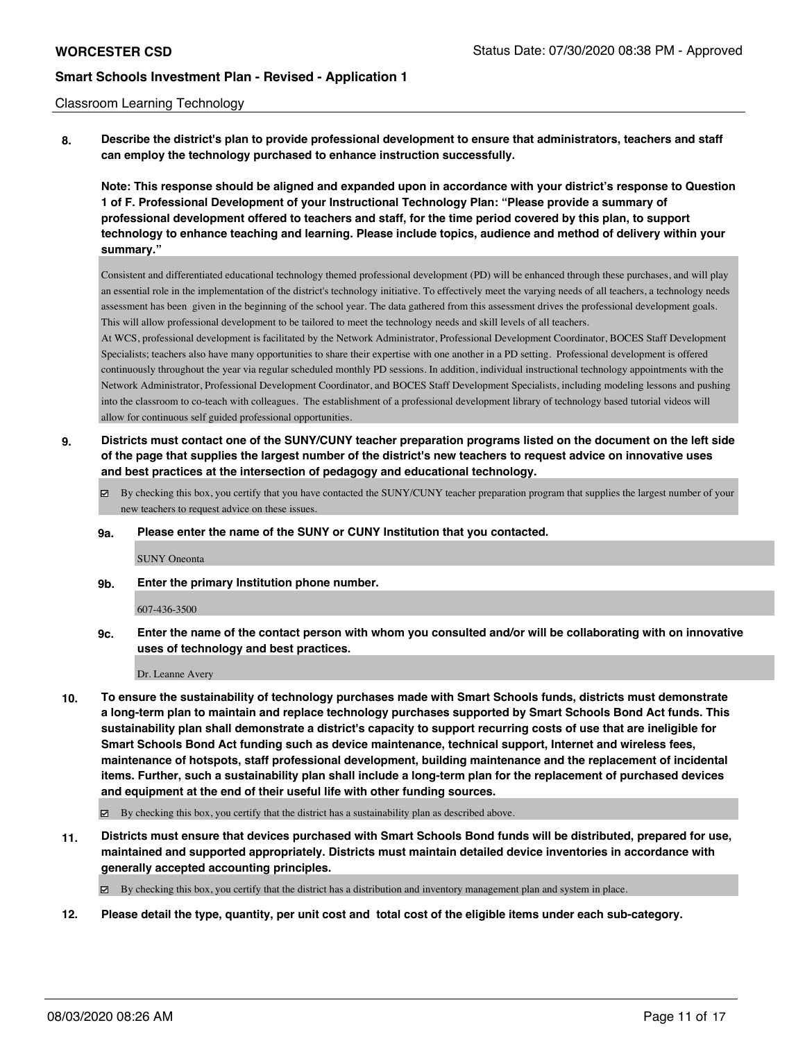#### Classroom Learning Technology

**8. Describe the district's plan to provide professional development to ensure that administrators, teachers and staff can employ the technology purchased to enhance instruction successfully.**

**Note: This response should be aligned and expanded upon in accordance with your district's response to Question 1 of F. Professional Development of your Instructional Technology Plan: "Please provide a summary of professional development offered to teachers and staff, for the time period covered by this plan, to support technology to enhance teaching and learning. Please include topics, audience and method of delivery within your summary."**

Consistent and differentiated educational technology themed professional development (PD) will be enhanced through these purchases, and will play an essential role in the implementation of the district's technology initiative. To effectively meet the varying needs of all teachers, a technology needs assessment has been given in the beginning of the school year. The data gathered from this assessment drives the professional development goals. This will allow professional development to be tailored to meet the technology needs and skill levels of all teachers.

At WCS, professional development is facilitated by the Network Administrator, Professional Development Coordinator, BOCES Staff Development Specialists; teachers also have many opportunities to share their expertise with one another in a PD setting. Professional development is offered continuously throughout the year via regular scheduled monthly PD sessions. In addition, individual instructional technology appointments with the Network Administrator, Professional Development Coordinator, and BOCES Staff Development Specialists, including modeling lessons and pushing into the classroom to co-teach with colleagues. The establishment of a professional development library of technology based tutorial videos will allow for continuous self guided professional opportunities.

- **9. Districts must contact one of the SUNY/CUNY teacher preparation programs listed on the document on the left side of the page that supplies the largest number of the district's new teachers to request advice on innovative uses and best practices at the intersection of pedagogy and educational technology.**
	- $\boxtimes$  By checking this box, you certify that you have contacted the SUNY/CUNY teacher preparation program that supplies the largest number of your new teachers to request advice on these issues.
	- **9a. Please enter the name of the SUNY or CUNY Institution that you contacted.**

#### SUNY Oneonta

**9b. Enter the primary Institution phone number.**

#### 607-436-3500

**9c. Enter the name of the contact person with whom you consulted and/or will be collaborating with on innovative uses of technology and best practices.**

Dr. Leanne Avery

**10. To ensure the sustainability of technology purchases made with Smart Schools funds, districts must demonstrate a long-term plan to maintain and replace technology purchases supported by Smart Schools Bond Act funds. This sustainability plan shall demonstrate a district's capacity to support recurring costs of use that are ineligible for Smart Schools Bond Act funding such as device maintenance, technical support, Internet and wireless fees, maintenance of hotspots, staff professional development, building maintenance and the replacement of incidental items. Further, such a sustainability plan shall include a long-term plan for the replacement of purchased devices and equipment at the end of their useful life with other funding sources.**

 $\boxtimes$  By checking this box, you certify that the district has a sustainability plan as described above.

**11. Districts must ensure that devices purchased with Smart Schools Bond funds will be distributed, prepared for use, maintained and supported appropriately. Districts must maintain detailed device inventories in accordance with generally accepted accounting principles.**

By checking this box, you certify that the district has a distribution and inventory management plan and system in place.

**12. Please detail the type, quantity, per unit cost and total cost of the eligible items under each sub-category.**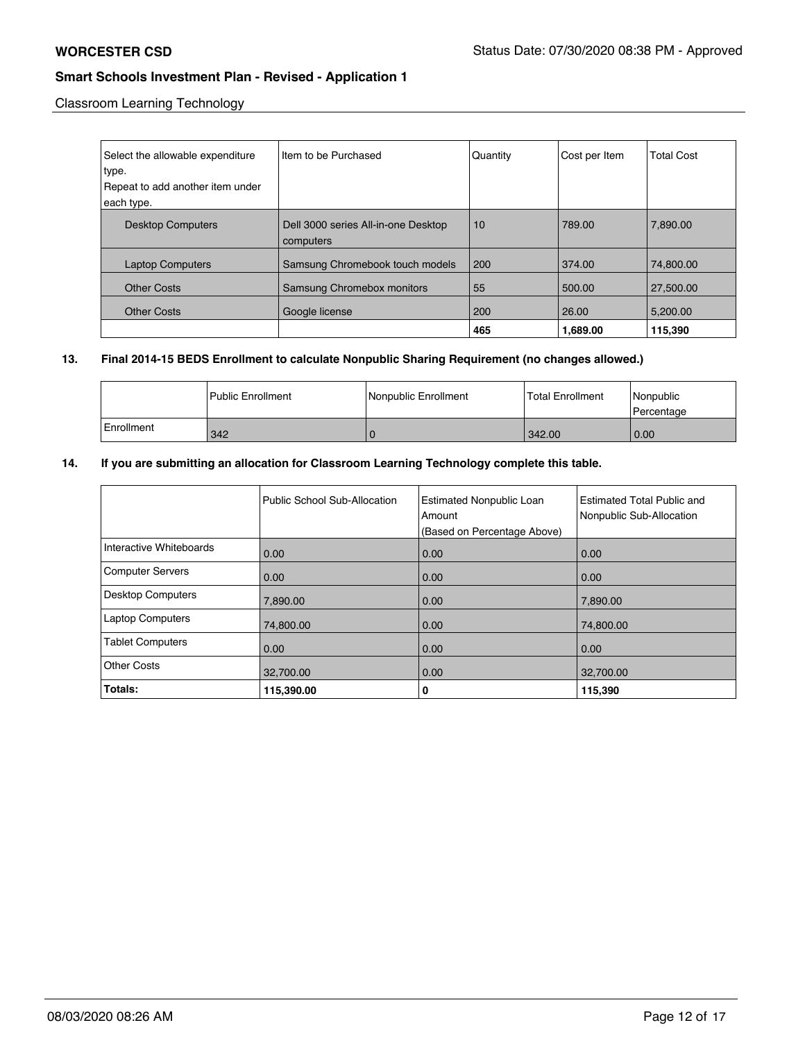Classroom Learning Technology

| Select the allowable expenditure<br>type. | Item to be Purchased                             | Quantity | Cost per Item | <b>Total Cost</b> |
|-------------------------------------------|--------------------------------------------------|----------|---------------|-------------------|
| Repeat to add another item under          |                                                  |          |               |                   |
| each type.                                |                                                  |          |               |                   |
| <b>Desktop Computers</b>                  | Dell 3000 series All-in-one Desktop<br>computers | 10       | 789.00        | 7.890.00          |
| <b>Laptop Computers</b>                   | Samsung Chromebook touch models                  | 200      | 374.00        | 74.800.00         |
| <b>Other Costs</b>                        | Samsung Chromebox monitors                       | 55       | 500.00        | 27,500.00         |
| <b>Other Costs</b>                        | Google license                                   | 200      | 26.00         | 5,200.00          |
|                                           |                                                  | 465      | 1,689.00      | 115,390           |

## **13. Final 2014-15 BEDS Enrollment to calculate Nonpublic Sharing Requirement (no changes allowed.)**

|            | l Public Enrollment | Nonpublic Enrollment | <b>Total Enrollment</b> | Nonpublic<br>l Percentage |
|------------|---------------------|----------------------|-------------------------|---------------------------|
| Enrollment | 342                 |                      | 342.00                  | 0.00                      |

## **14. If you are submitting an allocation for Classroom Learning Technology complete this table.**

|                          | Public School Sub-Allocation | <b>Estimated Nonpublic Loan</b><br>Amount<br>(Based on Percentage Above) | Estimated Total Public and<br>Nonpublic Sub-Allocation |
|--------------------------|------------------------------|--------------------------------------------------------------------------|--------------------------------------------------------|
| Interactive Whiteboards  | 0.00                         | 0.00                                                                     | 0.00                                                   |
| <b>Computer Servers</b>  | 0.00                         | 0.00                                                                     | 0.00                                                   |
| <b>Desktop Computers</b> | 7,890.00                     | 0.00                                                                     | 7,890.00                                               |
| <b>Laptop Computers</b>  | 74,800.00                    | 0.00                                                                     | 74,800.00                                              |
| <b>Tablet Computers</b>  | 0.00                         | 0.00                                                                     | 0.00                                                   |
| <b>Other Costs</b>       | 32,700.00                    | 0.00                                                                     | 32,700.00                                              |
| Totals:                  | 115,390.00                   | 0                                                                        | 115,390                                                |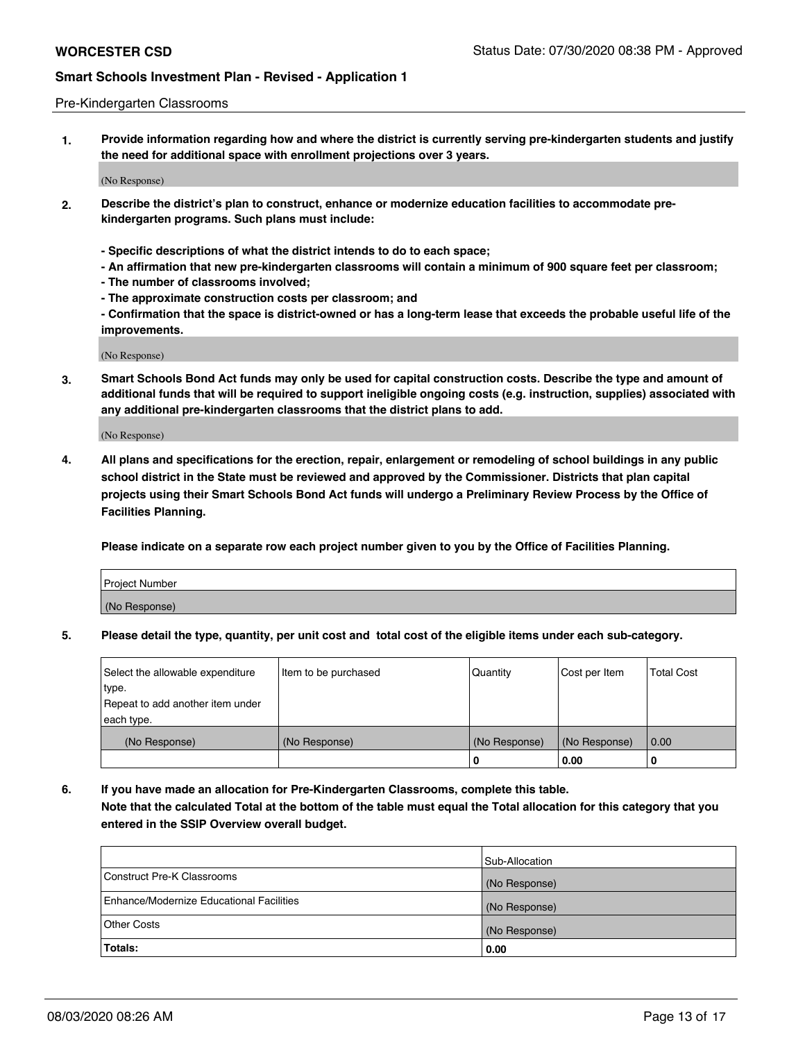#### Pre-Kindergarten Classrooms

**1. Provide information regarding how and where the district is currently serving pre-kindergarten students and justify the need for additional space with enrollment projections over 3 years.**

(No Response)

- **2. Describe the district's plan to construct, enhance or modernize education facilities to accommodate prekindergarten programs. Such plans must include:**
	- **Specific descriptions of what the district intends to do to each space;**
	- **An affirmation that new pre-kindergarten classrooms will contain a minimum of 900 square feet per classroom;**
	- **The number of classrooms involved;**
	- **The approximate construction costs per classroom; and**
	- **Confirmation that the space is district-owned or has a long-term lease that exceeds the probable useful life of the improvements.**

(No Response)

**3. Smart Schools Bond Act funds may only be used for capital construction costs. Describe the type and amount of additional funds that will be required to support ineligible ongoing costs (e.g. instruction, supplies) associated with any additional pre-kindergarten classrooms that the district plans to add.**

(No Response)

**4. All plans and specifications for the erection, repair, enlargement or remodeling of school buildings in any public school district in the State must be reviewed and approved by the Commissioner. Districts that plan capital projects using their Smart Schools Bond Act funds will undergo a Preliminary Review Process by the Office of Facilities Planning.**

**Please indicate on a separate row each project number given to you by the Office of Facilities Planning.**

| Project Number |  |
|----------------|--|
| (No Response)  |  |
|                |  |

**5. Please detail the type, quantity, per unit cost and total cost of the eligible items under each sub-category.**

| Select the allowable expenditure | Item to be purchased | Quantity      | Cost per Item | <b>Total Cost</b> |
|----------------------------------|----------------------|---------------|---------------|-------------------|
| type.                            |                      |               |               |                   |
| Repeat to add another item under |                      |               |               |                   |
| each type.                       |                      |               |               |                   |
| (No Response)                    | (No Response)        | (No Response) | (No Response) | 0.00              |
|                                  |                      | υ             | 0.00          |                   |

**6. If you have made an allocation for Pre-Kindergarten Classrooms, complete this table. Note that the calculated Total at the bottom of the table must equal the Total allocation for this category that you entered in the SSIP Overview overall budget.**

|                                          | Sub-Allocation |
|------------------------------------------|----------------|
| Construct Pre-K Classrooms               | (No Response)  |
| Enhance/Modernize Educational Facilities | (No Response)  |
| <b>Other Costs</b>                       | (No Response)  |
| Totals:                                  | 0.00           |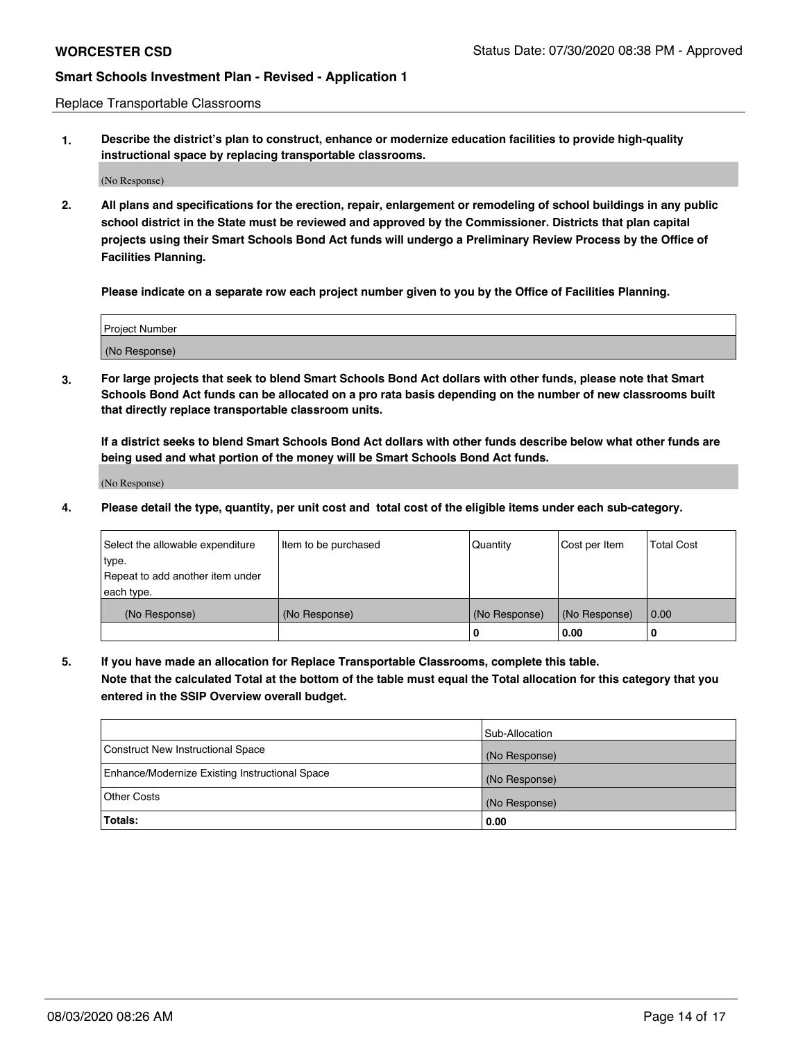Replace Transportable Classrooms

**1. Describe the district's plan to construct, enhance or modernize education facilities to provide high-quality instructional space by replacing transportable classrooms.**

(No Response)

**2. All plans and specifications for the erection, repair, enlargement or remodeling of school buildings in any public school district in the State must be reviewed and approved by the Commissioner. Districts that plan capital projects using their Smart Schools Bond Act funds will undergo a Preliminary Review Process by the Office of Facilities Planning.**

**Please indicate on a separate row each project number given to you by the Office of Facilities Planning.**

| Project Number |  |
|----------------|--|
|                |  |
|                |  |
| (No Response)  |  |
|                |  |

**3. For large projects that seek to blend Smart Schools Bond Act dollars with other funds, please note that Smart Schools Bond Act funds can be allocated on a pro rata basis depending on the number of new classrooms built that directly replace transportable classroom units.**

**If a district seeks to blend Smart Schools Bond Act dollars with other funds describe below what other funds are being used and what portion of the money will be Smart Schools Bond Act funds.**

(No Response)

**4. Please detail the type, quantity, per unit cost and total cost of the eligible items under each sub-category.**

| Select the allowable expenditure<br>∣type. | Item to be purchased | Quantity      | Cost per Item | Total Cost |
|--------------------------------------------|----------------------|---------------|---------------|------------|
| Repeat to add another item under           |                      |               |               |            |
| each type.<br>(No Response)                | (No Response)        | (No Response) | (No Response) | 0.00       |
|                                            |                      | u             | 0.00          | -0         |

**5. If you have made an allocation for Replace Transportable Classrooms, complete this table. Note that the calculated Total at the bottom of the table must equal the Total allocation for this category that you entered in the SSIP Overview overall budget.**

|                                                | Sub-Allocation |
|------------------------------------------------|----------------|
| Construct New Instructional Space              | (No Response)  |
| Enhance/Modernize Existing Instructional Space | (No Response)  |
| Other Costs                                    | (No Response)  |
| Totals:                                        | 0.00           |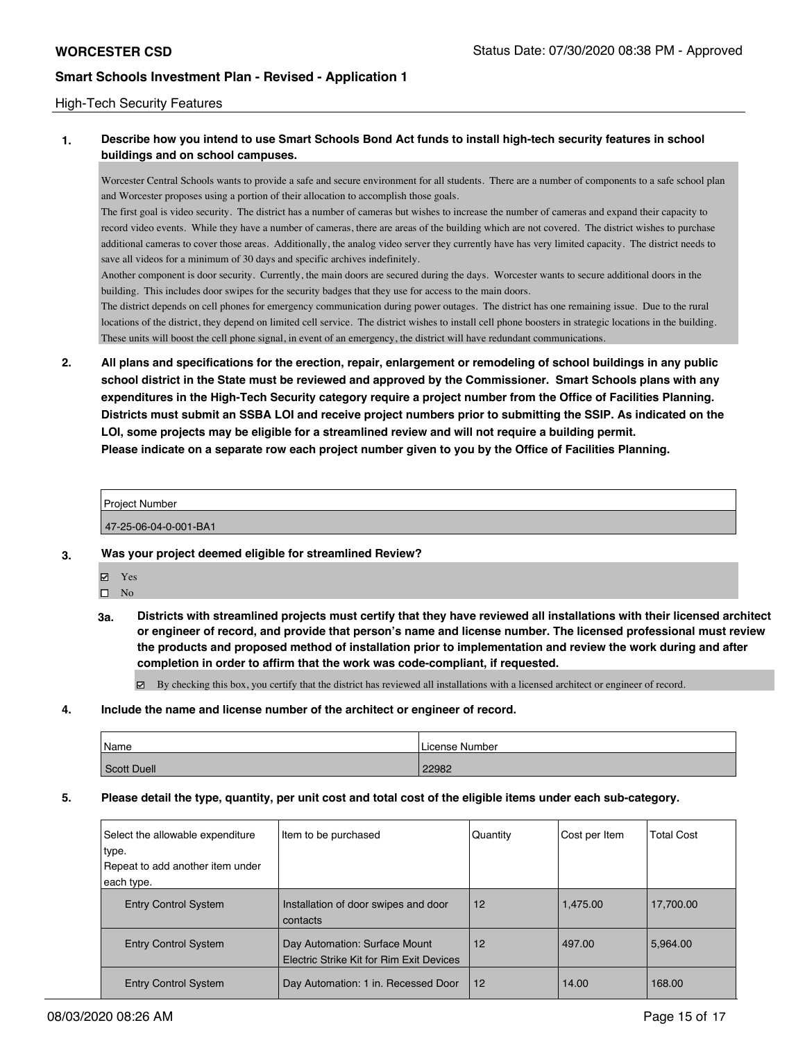#### High-Tech Security Features

### **1. Describe how you intend to use Smart Schools Bond Act funds to install high-tech security features in school buildings and on school campuses.**

Worcester Central Schools wants to provide a safe and secure environment for all students. There are a number of components to a safe school plan and Worcester proposes using a portion of their allocation to accomplish those goals.

The first goal is video security. The district has a number of cameras but wishes to increase the number of cameras and expand their capacity to record video events. While they have a number of cameras, there are areas of the building which are not covered. The district wishes to purchase additional cameras to cover those areas. Additionally, the analog video server they currently have has very limited capacity. The district needs to save all videos for a minimum of 30 days and specific archives indefinitely.

Another component is door security. Currently, the main doors are secured during the days. Worcester wants to secure additional doors in the building. This includes door swipes for the security badges that they use for access to the main doors.

The district depends on cell phones for emergency communication during power outages. The district has one remaining issue. Due to the rural locations of the district, they depend on limited cell service. The district wishes to install cell phone boosters in strategic locations in the building. These units will boost the cell phone signal, in event of an emergency, the district will have redundant communications.

**2. All plans and specifications for the erection, repair, enlargement or remodeling of school buildings in any public school district in the State must be reviewed and approved by the Commissioner. Smart Schools plans with any expenditures in the High-Tech Security category require a project number from the Office of Facilities Planning. Districts must submit an SSBA LOI and receive project numbers prior to submitting the SSIP. As indicated on the LOI, some projects may be eligible for a streamlined review and will not require a building permit. Please indicate on a separate row each project number given to you by the Office of Facilities Planning.**

| <b>Project Number</b> |  |
|-----------------------|--|
|                       |  |
| 47-25-06-04-0-001-BA1 |  |

#### **3. Was your project deemed eligible for streamlined Review?**

- Yes
- $\square$  No
- **3a. Districts with streamlined projects must certify that they have reviewed all installations with their licensed architect or engineer of record, and provide that person's name and license number. The licensed professional must review the products and proposed method of installation prior to implementation and review the work during and after completion in order to affirm that the work was code-compliant, if requested.**

By checking this box, you certify that the district has reviewed all installations with a licensed architect or engineer of record.

**4. Include the name and license number of the architect or engineer of record.**

| Name        | License Number |
|-------------|----------------|
| Scott Duell | 22982          |

**5. Please detail the type, quantity, per unit cost and total cost of the eligible items under each sub-category.**

| Select the allowable expenditure<br>type.<br>Repeat to add another item under<br>each type. | Item to be purchased                                                      | Quantity | Cost per Item | <b>Total Cost</b> |
|---------------------------------------------------------------------------------------------|---------------------------------------------------------------------------|----------|---------------|-------------------|
| <b>Entry Control System</b>                                                                 | Installation of door swipes and door<br>contacts                          | 12       | 1.475.00      | 17,700.00         |
| <b>Entry Control System</b>                                                                 | Day Automation: Surface Mount<br>Electric Strike Kit for Rim Exit Devices | 12       | 497.00        | 5.964.00          |
| <b>Entry Control System</b>                                                                 | Day Automation: 1 in. Recessed Door                                       | 12       | 14.00         | 168.00            |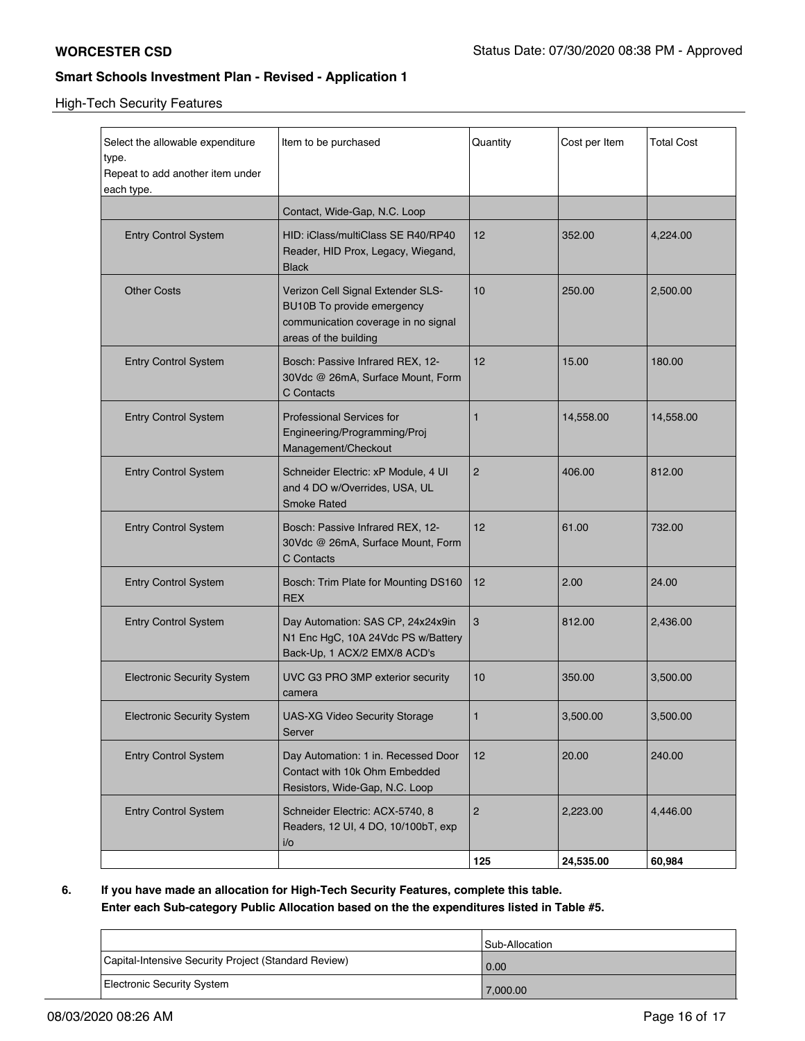High-Tech Security Features

| Select the allowable expenditure<br>type.<br>Repeat to add another item under<br>each type. | Item to be purchased                                                                                                            | Quantity       | Cost per Item | <b>Total Cost</b> |
|---------------------------------------------------------------------------------------------|---------------------------------------------------------------------------------------------------------------------------------|----------------|---------------|-------------------|
|                                                                                             | Contact, Wide-Gap, N.C. Loop                                                                                                    |                |               |                   |
| <b>Entry Control System</b>                                                                 | HID: iClass/multiClass SE R40/RP40<br>Reader, HID Prox, Legacy, Wiegand,<br><b>Black</b>                                        | 12             | 352.00        | 4,224.00          |
| <b>Other Costs</b>                                                                          | Verizon Cell Signal Extender SLS-<br>BU10B To provide emergency<br>communication coverage in no signal<br>areas of the building | 10             | 250.00        | 2,500.00          |
| <b>Entry Control System</b>                                                                 | Bosch: Passive Infrared REX, 12-<br>30Vdc @ 26mA, Surface Mount, Form<br>C Contacts                                             | 12             | 15.00         | 180.00            |
| <b>Entry Control System</b>                                                                 | <b>Professional Services for</b><br>Engineering/Programming/Proj<br>Management/Checkout                                         | $\mathbf{1}$   | 14,558.00     | 14,558.00         |
| <b>Entry Control System</b>                                                                 | Schneider Electric: xP Module, 4 UI<br>and 4 DO w/Overrides, USA, UL<br><b>Smoke Rated</b>                                      | $\overline{2}$ | 406.00        | 812.00            |
| <b>Entry Control System</b>                                                                 | Bosch: Passive Infrared REX, 12-<br>30Vdc @ 26mA, Surface Mount, Form<br>C Contacts                                             | 12             | 61.00         | 732.00            |
| <b>Entry Control System</b>                                                                 | Bosch: Trim Plate for Mounting DS160<br><b>REX</b>                                                                              | 12             | 2.00          | 24.00             |
| <b>Entry Control System</b>                                                                 | Day Automation: SAS CP, 24x24x9in<br>N1 Enc HgC, 10A 24Vdc PS w/Battery<br>Back-Up, 1 ACX/2 EMX/8 ACD's                         | 3              | 812.00        | 2,436.00          |
| <b>Electronic Security System</b>                                                           | UVC G3 PRO 3MP exterior security<br>camera                                                                                      | 10             | 350.00        | 3,500.00          |
| <b>Electronic Security System</b>                                                           | <b>UAS-XG Video Security Storage</b><br>Server                                                                                  | 1              | 3,500.00      | 3,500.00          |
| <b>Entry Control System</b>                                                                 | Day Automation: 1 in. Recessed Door<br>Contact with 10k Ohm Embedded<br>Resistors, Wide-Gap, N.C. Loop                          | 12             | 20.00         | 240.00            |
| <b>Entry Control System</b>                                                                 | Schneider Electric: ACX-5740, 8<br>Readers, 12 UI, 4 DO, 10/100bT, exp<br>i/o                                                   | $\sqrt{2}$     | 2,223.00      | 4,446.00          |
|                                                                                             |                                                                                                                                 | 125            | 24,535.00     | 60,984            |

**6. If you have made an allocation for High-Tech Security Features, complete this table. Enter each Sub-category Public Allocation based on the the expenditures listed in Table #5.**

|                                                      | Sub-Allocation |
|------------------------------------------------------|----------------|
| Capital-Intensive Security Project (Standard Review) | 0.00           |
| Electronic Security System                           | 7,000.00       |